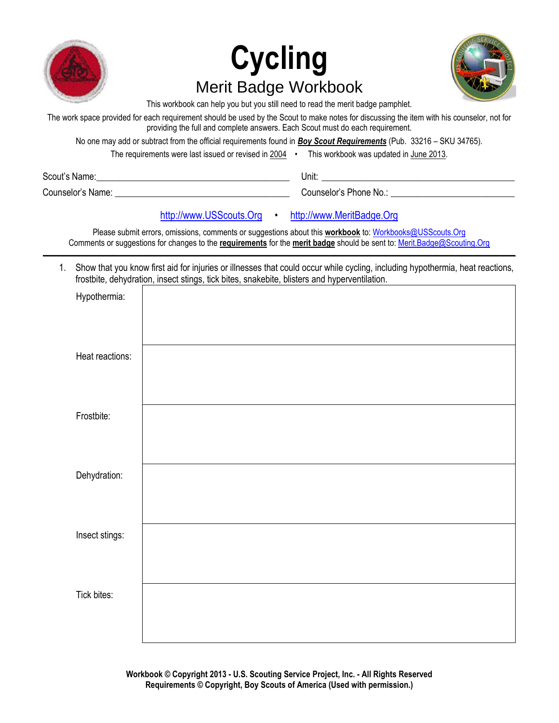

# **Cycling** Merit Badge Workbook



This workbook can help you but you still need to read the merit badge pamphlet.

The work space provided for each requirement should be used by the Scout to make notes for discussing the item with his counselor, not for providing the full and complete answers. Each Scout must do each requirement.

No one may add or subtract from the official requirements found in *Boy Scout Requirements* (Pub. 33216 – SKU 34765).

| The requirements were last issued or revised in 2004 |  | This workbook was updated in June 2013. |
|------------------------------------------------------|--|-----------------------------------------|
|------------------------------------------------------|--|-----------------------------------------|

| Scout's Name: |  |
|---------------|--|
|               |  |

Scout's Name:\_\_\_\_\_\_\_\_\_\_\_\_\_\_\_\_\_\_\_\_\_\_\_\_\_\_\_\_\_\_\_\_\_\_\_\_\_\_\_\_\_\_ Unit: \_\_\_\_\_\_\_\_\_\_\_\_\_\_\_\_\_\_\_\_\_\_\_\_\_\_\_\_\_\_\_\_\_\_\_\_\_\_\_\_\_\_

Counselor's Name: \_\_\_\_\_\_\_\_\_\_\_\_\_\_\_\_\_\_\_\_\_\_\_\_\_\_\_\_\_\_\_\_\_\_\_\_\_\_ Counselor's Phone No.: \_\_\_\_\_\_\_\_\_\_\_\_\_\_\_\_\_\_\_\_\_\_\_\_\_\_\_

# [http://www.USScouts.Org](http://www.usscouts.org/) • [http://www.MeritBadge.Org](http://www.meritbadge.org/)

Please submit errors, omissions, comments or suggestions about this **workbook** to: [Workbooks@USScouts.Org](mailto:Workbooks@usscouts.org?subject=Merit%20Badge%20Workbooks) Comments or suggestions for changes to the **requirements** for the **merit badge** should be sent to: [Merit.Badge@Scouting.Org](mailto:merit.badge@scouting.org)

*\_\_\_\_\_\_\_\_\_\_\_\_\_\_\_\_\_\_\_\_\_\_\_\_\_\_\_\_\_\_\_\_\_\_\_\_\_\_\_\_\_\_\_\_\_\_\_\_\_\_\_\_\_\_\_\_\_\_\_\_\_\_\_\_\_\_\_\_\_\_\_\_\_\_\_\_\_\_\_\_\_\_\_\_\_\_\_\_\_\_\_\_\_\_\_\_\_\_\_\_\_\_\_\_\_\_\_\_\_\_\_\_\_\_\_\_\_\_\_\_\_\_\_\_\_\_\_\_\_\_\_\_\_\_\_\_\_\_\_\_\_\_*

1. Show that you know first aid for injuries or illnesses that could occur while cycling, including hypothermia, heat reactions, frostbite, dehydration, insect stings, tick bites, snakebite, blisters and hyperventilation.

| Hypothermia:    |  |
|-----------------|--|
| Heat reactions: |  |
| Frostbite:      |  |
| Dehydration:    |  |
| Insect stings:  |  |
| Tick bites:     |  |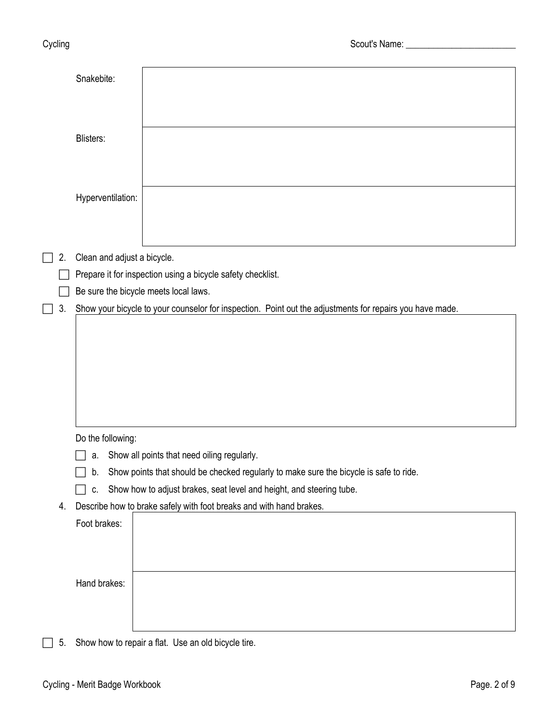|    | Snakebite:                  |                                                                                                          |
|----|-----------------------------|----------------------------------------------------------------------------------------------------------|
|    | Blisters:                   |                                                                                                          |
|    |                             |                                                                                                          |
|    | Hyperventilation:           |                                                                                                          |
|    |                             |                                                                                                          |
| 2. | Clean and adjust a bicycle. |                                                                                                          |
|    |                             | Prepare it for inspection using a bicycle safety checklist.                                              |
|    |                             | Be sure the bicycle meets local laws.                                                                    |
| 3. |                             | Show your bicycle to your counselor for inspection. Point out the adjustments for repairs you have made. |
|    |                             |                                                                                                          |
|    |                             |                                                                                                          |
|    |                             |                                                                                                          |
|    |                             |                                                                                                          |
|    |                             |                                                                                                          |
|    |                             |                                                                                                          |
|    | Do the following:           |                                                                                                          |
|    |                             | a. Show all points that need oiling regularly.                                                           |
|    | b.                          | Show points that should be checked regularly to make sure the bicycle is safe to ride.                   |
|    | C.                          | Show how to adjust brakes, seat level and height, and steering tube.                                     |
| 4. |                             | Describe how to brake safely with foot breaks and with hand brakes.                                      |
|    | Foot brakes:                |                                                                                                          |
|    |                             |                                                                                                          |
|    |                             |                                                                                                          |
|    |                             |                                                                                                          |
|    | Hand brakes:                |                                                                                                          |
|    |                             |                                                                                                          |
|    |                             |                                                                                                          |

5. Show how to repair a flat. Use an old bicycle tire.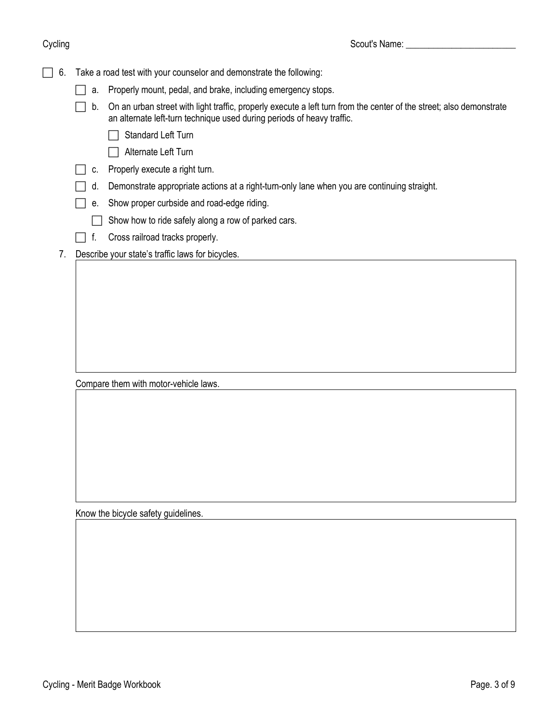|  | $\Box$ 6. Take a road test with your counselor and demonstrate the following: |  |
|--|-------------------------------------------------------------------------------|--|
|--|-------------------------------------------------------------------------------|--|

- a. Properly mount, pedal, and brake, including emergency stops.
- $\Box$  b. On an urban street with light traffic, properly execute a left turn from the center of the street; also demonstrate an alternate left-turn technique used during periods of heavy traffic.
	- Standard Left Turn
	- Alternate Left Turn
- $\Box$  c. Properly execute a right turn.
- $\Box$  d. Demonstrate appropriate actions at a right-turn-only lane when you are continuing straight.
- $\Box$  e. Show proper curbside and road-edge riding.
	- $\Box$  Show how to ride safely along a row of parked cars.
- $\Box$  f. Cross railroad tracks properly.
- 7. Describe your state's traffic laws for bicycles.

Compare them with motor-vehicle laws.

Know the bicycle safety guidelines.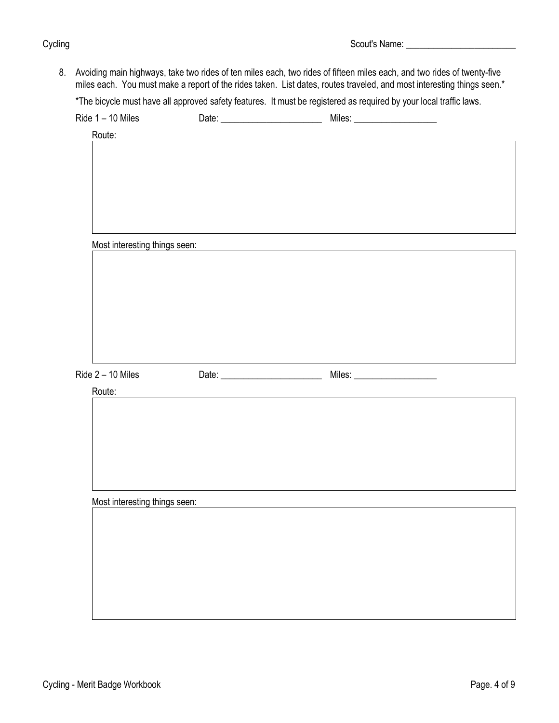8. Avoiding main highways, take two rides of ten miles each, two rides of fifteen miles each, and two rides of twenty-five miles each. You must make a report of the rides taken. List dates, routes traveled, and most interesting things seen.\*

\*The bicycle must have all approved safety features. It must be registered as required by your local traffic laws.

|                               |                                                                                                                      | Miles: _____________________                                                                                         |  |
|-------------------------------|----------------------------------------------------------------------------------------------------------------------|----------------------------------------------------------------------------------------------------------------------|--|
| Route:                        |                                                                                                                      |                                                                                                                      |  |
|                               |                                                                                                                      |                                                                                                                      |  |
|                               |                                                                                                                      |                                                                                                                      |  |
|                               |                                                                                                                      |                                                                                                                      |  |
|                               |                                                                                                                      |                                                                                                                      |  |
|                               |                                                                                                                      |                                                                                                                      |  |
|                               |                                                                                                                      |                                                                                                                      |  |
|                               |                                                                                                                      |                                                                                                                      |  |
| Most interesting things seen: |                                                                                                                      | <u> 1980 - Jan Samuel Barbara, margaret e populari e populari e populari e populari e populari e populari e popu</u> |  |
|                               |                                                                                                                      |                                                                                                                      |  |
|                               |                                                                                                                      |                                                                                                                      |  |
|                               |                                                                                                                      |                                                                                                                      |  |
|                               |                                                                                                                      |                                                                                                                      |  |
|                               |                                                                                                                      |                                                                                                                      |  |
|                               |                                                                                                                      |                                                                                                                      |  |
|                               |                                                                                                                      |                                                                                                                      |  |
|                               |                                                                                                                      |                                                                                                                      |  |
|                               |                                                                                                                      |                                                                                                                      |  |
| Ride 2 - 10 Miles             |                                                                                                                      |                                                                                                                      |  |
| Route:                        | <u> 1980 - Jan Samuel Barbara, martin da shekara 1980 - An tsara 1980 - An tsara 1980 - An tsara 1980 - An tsara</u> |                                                                                                                      |  |
|                               |                                                                                                                      |                                                                                                                      |  |
|                               |                                                                                                                      |                                                                                                                      |  |
|                               |                                                                                                                      |                                                                                                                      |  |
|                               |                                                                                                                      |                                                                                                                      |  |
|                               |                                                                                                                      |                                                                                                                      |  |
|                               |                                                                                                                      |                                                                                                                      |  |
|                               |                                                                                                                      |                                                                                                                      |  |
| Most interesting things seen: |                                                                                                                      |                                                                                                                      |  |
|                               |                                                                                                                      |                                                                                                                      |  |
|                               |                                                                                                                      |                                                                                                                      |  |
|                               |                                                                                                                      |                                                                                                                      |  |
|                               |                                                                                                                      |                                                                                                                      |  |
|                               |                                                                                                                      |                                                                                                                      |  |
|                               |                                                                                                                      |                                                                                                                      |  |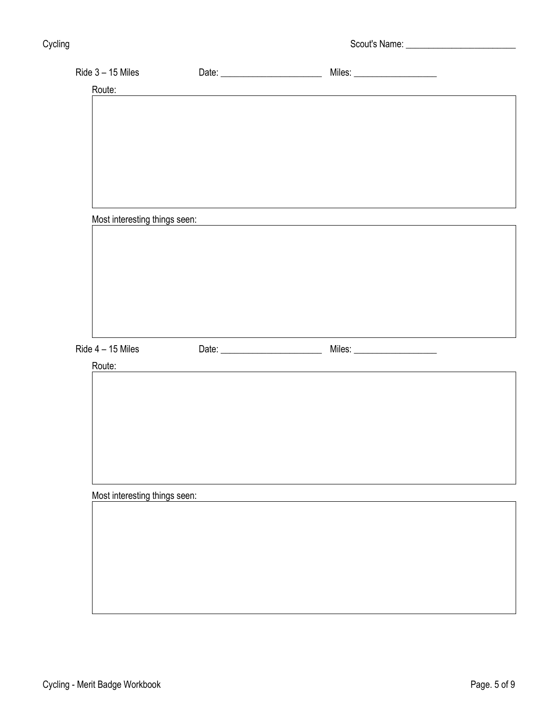Cycling Cycling Cycling Cycling Cycling Cycling Cycling Cycling Cycling Cycling Cycling Cycling Cycling Cyclin

| Ride 3 - 15 Miles             |                                                    |                                                            |  |
|-------------------------------|----------------------------------------------------|------------------------------------------------------------|--|
| Route:                        |                                                    |                                                            |  |
|                               |                                                    |                                                            |  |
|                               |                                                    |                                                            |  |
|                               |                                                    |                                                            |  |
|                               |                                                    |                                                            |  |
|                               |                                                    |                                                            |  |
|                               |                                                    |                                                            |  |
|                               |                                                    |                                                            |  |
|                               |                                                    |                                                            |  |
| Most interesting things seen: |                                                    | <u> 1989 - Jan Sterner, amerikansk politiker (d. 1989)</u> |  |
|                               |                                                    |                                                            |  |
|                               |                                                    |                                                            |  |
|                               |                                                    |                                                            |  |
|                               |                                                    |                                                            |  |
|                               |                                                    |                                                            |  |
|                               |                                                    |                                                            |  |
|                               |                                                    |                                                            |  |
|                               |                                                    |                                                            |  |
| Ride 4 - 15 Miles             |                                                    |                                                            |  |
| Route:                        |                                                    |                                                            |  |
|                               | <u> 1980 - John Stein, Amerikaansk politiker (</u> |                                                            |  |
|                               |                                                    |                                                            |  |
|                               |                                                    |                                                            |  |
|                               |                                                    |                                                            |  |
|                               |                                                    |                                                            |  |
|                               |                                                    |                                                            |  |
|                               |                                                    |                                                            |  |
|                               |                                                    |                                                            |  |
|                               |                                                    |                                                            |  |
|                               |                                                    |                                                            |  |
| Most interesting things seen: |                                                    |                                                            |  |
|                               |                                                    |                                                            |  |
|                               |                                                    |                                                            |  |
|                               |                                                    |                                                            |  |
|                               |                                                    |                                                            |  |
|                               |                                                    |                                                            |  |
|                               |                                                    |                                                            |  |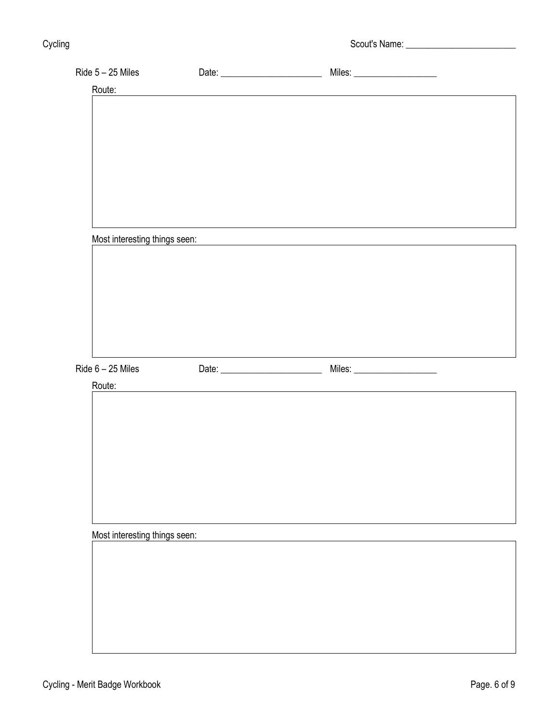| Route:                        |                                                                                                                       |                                                                                                                      |  |
|-------------------------------|-----------------------------------------------------------------------------------------------------------------------|----------------------------------------------------------------------------------------------------------------------|--|
|                               |                                                                                                                       |                                                                                                                      |  |
|                               |                                                                                                                       |                                                                                                                      |  |
|                               |                                                                                                                       |                                                                                                                      |  |
|                               |                                                                                                                       |                                                                                                                      |  |
|                               |                                                                                                                       |                                                                                                                      |  |
|                               |                                                                                                                       |                                                                                                                      |  |
|                               |                                                                                                                       |                                                                                                                      |  |
|                               |                                                                                                                       |                                                                                                                      |  |
|                               |                                                                                                                       |                                                                                                                      |  |
|                               |                                                                                                                       |                                                                                                                      |  |
| Most interesting things seen: |                                                                                                                       |                                                                                                                      |  |
|                               |                                                                                                                       |                                                                                                                      |  |
|                               |                                                                                                                       |                                                                                                                      |  |
|                               |                                                                                                                       |                                                                                                                      |  |
|                               |                                                                                                                       |                                                                                                                      |  |
|                               |                                                                                                                       |                                                                                                                      |  |
|                               |                                                                                                                       |                                                                                                                      |  |
|                               | <u> 1980 - Andrea Barbara, poeta espainiar político e a continente de la propia de la propia de la propia de la p</u> | <u> 1980 - Johann Barn, mars ann an t-Amhain Aonaich an t-Aonaich an t-Aonaich ann an t-Aonaich ann an t-Aonaich</u> |  |
| Ride 6 - 25 Miles             |                                                                                                                       |                                                                                                                      |  |
| Route:                        | <u> 1980 - Jan Samuel Barbara, martin da shekara 1980 - An tsara 1980 - An tsara 1980 - An tsara 1980 - An tsara</u>  |                                                                                                                      |  |
|                               |                                                                                                                       |                                                                                                                      |  |
|                               |                                                                                                                       |                                                                                                                      |  |
|                               |                                                                                                                       |                                                                                                                      |  |
|                               |                                                                                                                       |                                                                                                                      |  |
|                               |                                                                                                                       |                                                                                                                      |  |
|                               |                                                                                                                       |                                                                                                                      |  |
|                               |                                                                                                                       |                                                                                                                      |  |
|                               |                                                                                                                       |                                                                                                                      |  |
|                               |                                                                                                                       |                                                                                                                      |  |
|                               |                                                                                                                       |                                                                                                                      |  |
| Most interesting things seen: |                                                                                                                       |                                                                                                                      |  |
|                               |                                                                                                                       |                                                                                                                      |  |
|                               |                                                                                                                       |                                                                                                                      |  |
|                               |                                                                                                                       |                                                                                                                      |  |
|                               |                                                                                                                       |                                                                                                                      |  |
|                               |                                                                                                                       |                                                                                                                      |  |
|                               |                                                                                                                       |                                                                                                                      |  |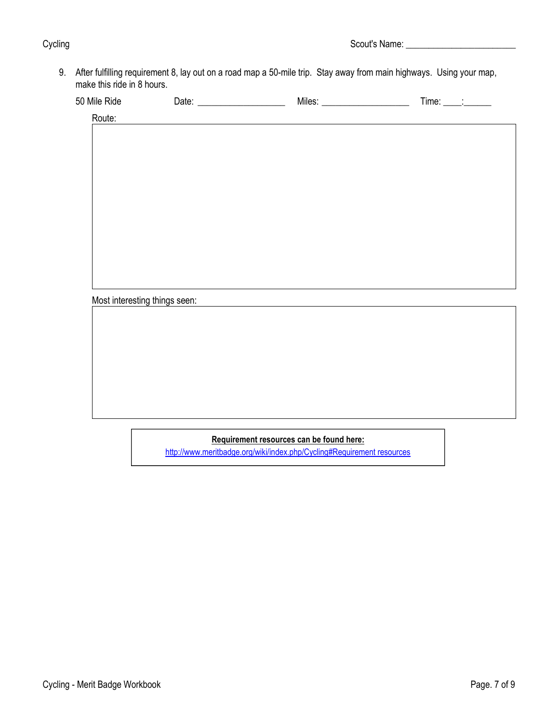9. After fulfilling requirement 8, lay out on a road map a 50-mile trip. Stay away from main highways. Using your map, make this ride in 8 hours.

| 50<br><b>IVIII</b><br>кки |  | MI |  |  |
|---------------------------|--|----|--|--|
|---------------------------|--|----|--|--|

| Route:                        |  |  |
|-------------------------------|--|--|
|                               |  |  |
|                               |  |  |
|                               |  |  |
|                               |  |  |
|                               |  |  |
|                               |  |  |
|                               |  |  |
|                               |  |  |
|                               |  |  |
|                               |  |  |
|                               |  |  |
|                               |  |  |
|                               |  |  |
| Most interesting things seen: |  |  |
|                               |  |  |
|                               |  |  |
|                               |  |  |
|                               |  |  |
|                               |  |  |
|                               |  |  |
|                               |  |  |
|                               |  |  |
|                               |  |  |
|                               |  |  |

# **Requirement resources can be found here:**

[http://www.meritbadge.org/wiki/index.php/Cycling#Requirement resources](http://www.meritbadge.org/wiki/index.php/Cycling#Requirement_resources)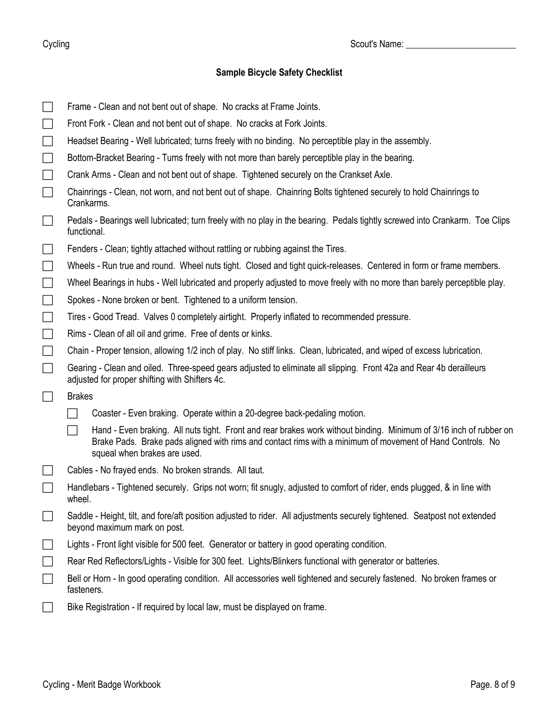Cycling Cycling Cycling Cycling Cycling Cycling Cycling Cycling Cycling Cycling Cycling Cycling Cycling Cyclin

# **Sample Bicycle Safety Checklist**

| $\Box$                      | Frame - Clean and not bent out of shape. No cracks at Frame Joints.                                                                                                                                                                                             |
|-----------------------------|-----------------------------------------------------------------------------------------------------------------------------------------------------------------------------------------------------------------------------------------------------------------|
| $\Box$                      | Front Fork - Clean and not bent out of shape. No cracks at Fork Joints.                                                                                                                                                                                         |
| $\Box$                      | Headset Bearing - Well lubricated; turns freely with no binding. No perceptible play in the assembly.                                                                                                                                                           |
| $\Box$                      | Bottom-Bracket Bearing - Turns freely with not more than barely perceptible play in the bearing.                                                                                                                                                                |
| $\Box$                      | Crank Arms - Clean and not bent out of shape. Tightened securely on the Crankset Axle.                                                                                                                                                                          |
| $\Box$                      | Chainrings - Clean, not worn, and not bent out of shape. Chainring Bolts tightened securely to hold Chainrings to<br>Crankarms.                                                                                                                                 |
| $\Box$                      | Pedals - Bearings well lubricated; turn freely with no play in the bearing. Pedals tightly screwed into Crankarm. Toe Clips<br>functional.                                                                                                                      |
| $\mathcal{L}_{\mathcal{A}}$ | Fenders - Clean; tightly attached without rattling or rubbing against the Tires.                                                                                                                                                                                |
| $\Box$                      | Wheels - Run true and round. Wheel nuts tight. Closed and tight quick-releases. Centered in form or frame members.                                                                                                                                              |
| $\Box$                      | Wheel Bearings in hubs - Well lubricated and properly adjusted to move freely with no more than barely perceptible play.                                                                                                                                        |
| $\Box$                      | Spokes - None broken or bent. Tightened to a uniform tension.                                                                                                                                                                                                   |
| $\Box$                      | Tires - Good Tread. Valves 0 completely airtight. Properly inflated to recommended pressure.                                                                                                                                                                    |
| $\Box$                      | Rims - Clean of all oil and grime. Free of dents or kinks.                                                                                                                                                                                                      |
| $\Box$                      | Chain - Proper tension, allowing 1/2 inch of play. No stiff links. Clean, lubricated, and wiped of excess lubrication.                                                                                                                                          |
| $\Box$                      | Gearing - Clean and oiled. Three-speed gears adjusted to eliminate all slipping. Front 42a and Rear 4b derailleurs<br>adjusted for proper shifting with Shifters 4c.                                                                                            |
| $\Box$                      | <b>Brakes</b>                                                                                                                                                                                                                                                   |
|                             | Coaster - Even braking. Operate within a 20-degree back-pedaling motion.                                                                                                                                                                                        |
|                             | Hand - Even braking. All nuts tight. Front and rear brakes work without binding. Minimum of 3/16 inch of rubber on<br>Brake Pads. Brake pads aligned with rims and contact rims with a minimum of movement of Hand Controls. No<br>squeal when brakes are used. |
|                             | Cables - No frayed ends. No broken strands. All taut.                                                                                                                                                                                                           |
| $\Box$                      | Handlebars - Tightened securely. Grips not worn; fit snugly, adjusted to comfort of rider, ends plugged, & in line with<br>wheel.                                                                                                                               |
|                             | Saddle - Height, tilt, and fore/aft position adjusted to rider. All adjustments securely tightened. Seatpost not extended<br>beyond maximum mark on post.                                                                                                       |
| $\Box$                      | Lights - Front light visible for 500 feet. Generator or battery in good operating condition.                                                                                                                                                                    |
| $\Box$                      | Rear Red Reflectors/Lights - Visible for 300 feet. Lights/Blinkers functional with generator or batteries.                                                                                                                                                      |
| $\overline{\phantom{a}}$    | Bell or Horn - In good operating condition. All accessories well tightened and securely fastened. No broken frames or<br>fasteners.                                                                                                                             |
|                             | Bike Registration - If required by local law, must be displayed on frame.                                                                                                                                                                                       |